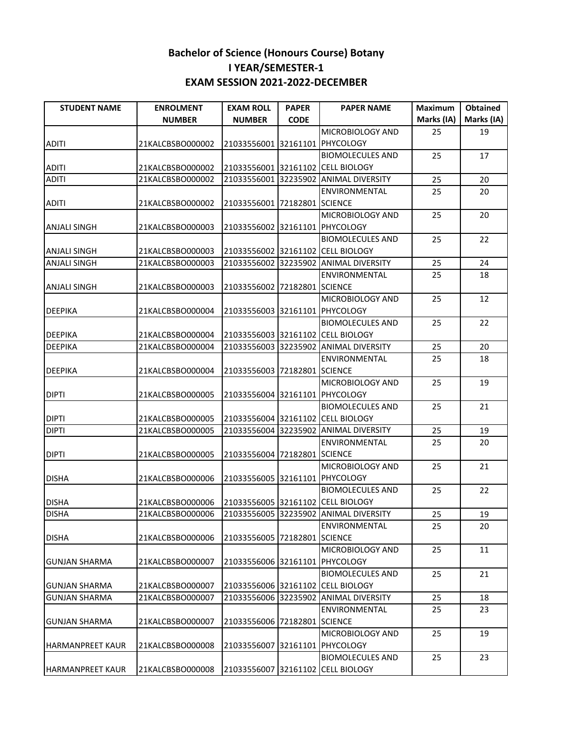| <b>STUDENT NAME</b>     | <b>ENROLMENT</b> | <b>EXAM ROLL</b>               | <b>PAPER</b> | <b>PAPER NAME</b>                     | <b>Maximum</b> | <b>Obtained</b> |
|-------------------------|------------------|--------------------------------|--------------|---------------------------------------|----------------|-----------------|
|                         | <b>NUMBER</b>    | <b>NUMBER</b>                  | <b>CODE</b>  |                                       | Marks (IA)     | Marks (IA)      |
|                         |                  |                                |              | MICROBIOLOGY AND                      | 25             | 19              |
| <b>ADITI</b>            | 21KALCBSBO000002 | 21033556001 32161101 PHYCOLOGY |              |                                       |                |                 |
|                         |                  |                                |              | <b>BIOMOLECULES AND</b>               | 25             | 17              |
| ADITI                   | 21KALCBSBO000002 |                                |              | 21033556001 32161102 CELL BIOLOGY     |                |                 |
| <b>ADITI</b>            | 21KALCBSBO000002 | 21033556001 32235902           |              | <b>ANIMAL DIVERSITY</b>               | 25             | 20              |
|                         |                  |                                |              | ENVIRONMENTAL                         | 25             | 20              |
| <b>ADITI</b>            | 21KALCBSBO000002 | 21033556001 72182801 SCIENCE   |              |                                       |                |                 |
|                         |                  |                                |              | MICROBIOLOGY AND                      | 25             | 20              |
| <b>ANJALI SINGH</b>     | 21KALCBSBO000003 | 21033556002 32161101 PHYCOLOGY |              |                                       |                |                 |
|                         |                  |                                |              | <b>BIOMOLECULES AND</b>               | 25             | 22              |
| <b>ANJALI SINGH</b>     | 21KALCBSBO000003 |                                |              | 21033556002 32161102 CELL BIOLOGY     |                |                 |
| <b>ANJALI SINGH</b>     | 21KALCBSBO000003 |                                |              | 21033556002 32235902 ANIMAL DIVERSITY | 25             | 24              |
|                         |                  |                                |              | ENVIRONMENTAL                         | 25             | 18              |
| <b>ANJALI SINGH</b>     | 21KALCBSBO000003 | 21033556002 72182801 SCIENCE   |              |                                       |                |                 |
|                         |                  |                                |              | MICROBIOLOGY AND                      | 25             | 12              |
| <b>DEEPIKA</b>          | 21KALCBSBO000004 | 21033556003 32161101 PHYCOLOGY |              |                                       |                |                 |
|                         |                  |                                |              | <b>BIOMOLECULES AND</b>               | 25             | 22              |
| <b>DEEPIKA</b>          | 21KALCBSBO000004 |                                |              | 21033556003 32161102 CELL BIOLOGY     |                |                 |
| <b>DEEPIKA</b>          | 21KALCBSBO000004 | 21033556003 32235902           |              | <b>ANIMAL DIVERSITY</b>               | 25             | 20              |
|                         |                  |                                |              | ENVIRONMENTAL                         | 25             | 18              |
| <b>DEEPIKA</b>          | 21KALCBSBO000004 | 21033556003 72182801 SCIENCE   |              |                                       |                |                 |
|                         |                  |                                |              | MICROBIOLOGY AND                      | 25             | 19              |
| <b>DIPTI</b>            | 21KALCBSBO000005 | 21033556004 32161101 PHYCOLOGY |              |                                       |                |                 |
|                         |                  |                                |              | <b>BIOMOLECULES AND</b>               | 25             | 21              |
| <b>DIPTI</b>            | 21KALCBSBO000005 |                                |              | 21033556004 32161102 CELL BIOLOGY     |                |                 |
| <b>DIPTI</b>            | 21KALCBSBO000005 |                                |              | 21033556004 32235902 ANIMAL DIVERSITY | 25             | 19              |
|                         |                  |                                |              | ENVIRONMENTAL                         | 25             | 20              |
| DIPTI                   | 21KALCBSBO000005 | 21033556004 72182801 SCIENCE   |              |                                       |                |                 |
|                         |                  |                                |              | MICROBIOLOGY AND                      | 25             | 21              |
| <b>DISHA</b>            | 21KALCBSBO000006 | 21033556005 32161101 PHYCOLOGY |              |                                       |                |                 |
|                         |                  |                                |              | <b>BIOMOLECULES AND</b>               | 25             | 22              |
| <b>DISHA</b>            | 21KALCBSBO000006 |                                |              | 21033556005 32161102 CELL BIOLOGY     |                |                 |
| <b>DISHA</b>            | 21KALCBSBO000006 |                                |              | 21033556005 32235902 ANIMAL DIVERSITY | 25             | 19              |
|                         |                  |                                |              | ENVIRONMENTAL                         | 25             | 20              |
| DISHA                   | 21KALCBSBO000006 | 21033556005 72182801 SCIENCE   |              |                                       |                |                 |
|                         |                  |                                |              | MICROBIOLOGY AND                      | 25             | 11              |
| GUNJAN SHARMA           | 21KALCBSBO000007 | 21033556006 32161101 PHYCOLOGY |              |                                       |                |                 |
|                         |                  |                                |              | <b>BIOMOLECULES AND</b>               | 25             | 21              |
| lGUNJAN SHARMA          | 21KALCBSBO000007 |                                |              | 21033556006 32161102 CELL BIOLOGY     |                |                 |
| <b>GUNJAN SHARMA</b>    | 21KALCBSBO000007 |                                |              | 21033556006 32235902 ANIMAL DIVERSITY | 25             | 18              |
|                         |                  |                                |              | ENVIRONMENTAL                         | 25             | 23              |
| lGUNJAN SHARMA          | 21KALCBSBO000007 | 21033556006 72182801 SCIENCE   |              |                                       |                |                 |
|                         |                  |                                |              | MICROBIOLOGY AND                      | 25             | 19              |
| <b>HARMANPREET KAUR</b> | 21KALCBSBO000008 | 21033556007 32161101 PHYCOLOGY |              |                                       |                |                 |
|                         |                  |                                |              | <b>BIOMOLECULES AND</b>               | 25             | 23              |
| <b>HARMANPREET KAUR</b> | 21KALCBSBO000008 |                                |              | 21033556007 32161102 CELL BIOLOGY     |                |                 |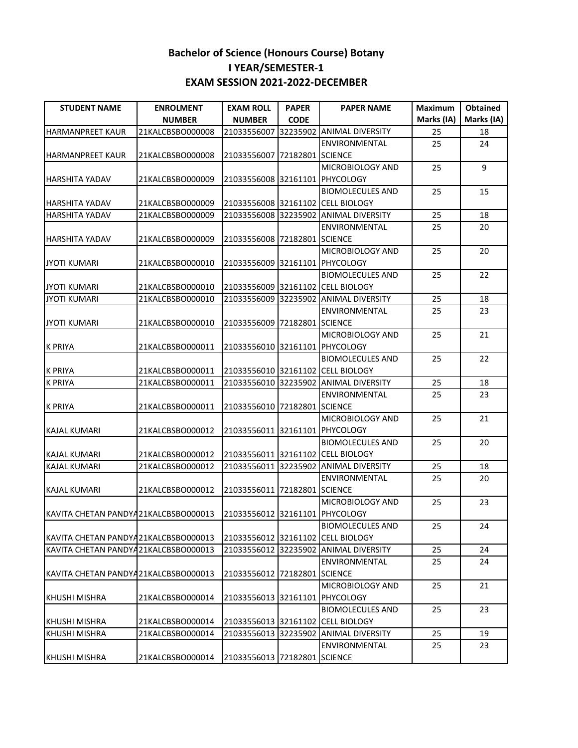| <b>STUDENT NAME</b>                   | <b>ENROLMENT</b> | <b>EXAM ROLL</b>               | <b>PAPER</b> | <b>PAPER NAME</b>                     | <b>Maximum</b> | <b>Obtained</b> |
|---------------------------------------|------------------|--------------------------------|--------------|---------------------------------------|----------------|-----------------|
|                                       | <b>NUMBER</b>    | <b>NUMBER</b>                  | <b>CODE</b>  |                                       | Marks (IA)     | Marks (IA)      |
| <b>HARMANPREET KAUR</b>               | 21KALCBSBO000008 | 21033556007                    | 32235902     | <b>ANIMAL DIVERSITY</b>               | 25             | 18              |
|                                       |                  |                                |              | ENVIRONMENTAL                         | 25             | 24              |
| HARMANPREET KAUR                      | 21KALCBSBO000008 | 21033556007 72182801 SCIENCE   |              |                                       |                |                 |
|                                       |                  |                                |              | MICROBIOLOGY AND                      | 25             | 9               |
| <b>HARSHITA YADAV</b>                 | 21KALCBSBO000009 | 21033556008 32161101 PHYCOLOGY |              |                                       |                |                 |
|                                       |                  |                                |              | <b>BIOMOLECULES AND</b>               | 25             | 15              |
| <b>HARSHITA YADAV</b>                 | 21KALCBSBO000009 |                                |              | 21033556008 32161102 CELL BIOLOGY     |                |                 |
| <b>HARSHITA YADAV</b>                 | 21KALCBSBO000009 |                                |              | 21033556008 32235902 ANIMAL DIVERSITY | 25             | 18              |
|                                       |                  |                                |              | ENVIRONMENTAL                         | 25             | 20              |
| <b>HARSHITA YADAV</b>                 | 21KALCBSBO000009 | 21033556008 72182801 SCIENCE   |              |                                       |                |                 |
|                                       |                  |                                |              | MICROBIOLOGY AND                      | 25             | 20              |
| <b>JYOTI KUMARI</b>                   | 21KALCBSBO000010 | 21033556009 32161101 PHYCOLOGY |              |                                       |                |                 |
|                                       |                  |                                |              | <b>BIOMOLECULES AND</b>               | 25             | 22              |
| <b>JYOTI KUMARI</b>                   | 21KALCBSBO000010 |                                |              | 21033556009 32161102 CELL BIOLOGY     |                |                 |
| <b>JYOTI KUMARI</b>                   | 21KALCBSBO000010 |                                |              | 21033556009 32235902 ANIMAL DIVERSITY | 25             | 18              |
|                                       |                  |                                |              | ENVIRONMENTAL                         | 25             | 23              |
| <b>JYOTI KUMARI</b>                   | 21KALCBSBO000010 | 21033556009 72182801 SCIENCE   |              |                                       |                |                 |
|                                       |                  |                                |              | MICROBIOLOGY AND                      | 25             | 21              |
| <b>K PRIYA</b>                        | 21KALCBSBO000011 | 21033556010 32161101 PHYCOLOGY |              |                                       |                |                 |
|                                       |                  |                                |              | <b>BIOMOLECULES AND</b>               | 25             | 22              |
| <b>K PRIYA</b>                        | 21KALCBSBO000011 |                                |              | 21033556010 32161102 CELL BIOLOGY     |                |                 |
| <b>K PRIYA</b>                        | 21KALCBSBO000011 |                                |              | 21033556010 32235902 ANIMAL DIVERSITY | 25             | 18              |
|                                       |                  |                                |              | ENVIRONMENTAL                         | 25             | 23              |
| <b>K PRIYA</b>                        | 21KALCBSBO000011 | 21033556010 72182801 SCIENCE   |              |                                       |                |                 |
|                                       |                  |                                |              | MICROBIOLOGY AND                      | 25             | 21              |
| <b>KAJAL KUMARI</b>                   | 21KALCBSBO000012 | 21033556011 32161101 PHYCOLOGY |              |                                       |                |                 |
|                                       |                  |                                |              | <b>BIOMOLECULES AND</b>               | 25             | 20              |
| KAJAL KUMARI                          | 21KALCBSBO000012 |                                |              | 21033556011 32161102 CELL BIOLOGY     |                |                 |
| <b>KAJAL KUMARI</b>                   | 21KALCBSBO000012 |                                |              | 21033556011 32235902 ANIMAL DIVERSITY | 25             | 18              |
|                                       |                  |                                |              | ENVIRONMENTAL                         | 25             | 20              |
| <b>KAJAL KUMARI</b>                   | 21KALCBSBO000012 | 21033556011 72182801 SCIENCE   |              |                                       |                |                 |
|                                       |                  |                                |              | MICROBIOLOGY AND                      | 25             | 23              |
| KAVITA CHETAN PANDYA21KALCBSBO000013  |                  | 21033556012 32161101 PHYCOLOGY |              |                                       |                |                 |
|                                       |                  |                                |              | <b>BIOMOLECULES AND</b>               | 25             |                 |
| KAVITA CHETAN PANDYA21KALCBSBO000013  |                  |                                |              | 21033556012 32161102 CELL BIOLOGY     |                | 24              |
| KAVITA CHETAN PANDYA21KALCBSBO000013  |                  |                                |              | 21033556012 32235902 ANIMAL DIVERSITY | 25             | 24              |
|                                       |                  |                                |              | ENVIRONMENTAL                         | 25             | 24              |
| KAVITA CHETAN PANDYA 21KALCBSBO000013 |                  | 21033556012 72182801 SCIENCE   |              |                                       |                |                 |
|                                       |                  |                                |              |                                       |                |                 |
|                                       |                  |                                |              | MICROBIOLOGY AND                      | 25             | 21              |
| <b>KHUSHI MISHRA</b>                  | 21KALCBSBO000014 | 21033556013 32161101 PHYCOLOGY |              |                                       |                |                 |
|                                       |                  |                                |              | BIOMOLECULES AND                      | 25             | 23              |
| KHUSHI MISHRA                         | 21KALCBSBO000014 |                                |              | 21033556013 32161102 CELL BIOLOGY     |                |                 |
| <b>KHUSHI MISHRA</b>                  | 21KALCBSBO000014 |                                |              | 21033556013 32235902 ANIMAL DIVERSITY | 25             | 19              |
|                                       |                  |                                |              | ENVIRONMENTAL                         | 25             | 23              |
| KHUSHI MISHRA                         | 21KALCBSBO000014 | 21033556013 72182801 SCIENCE   |              |                                       |                |                 |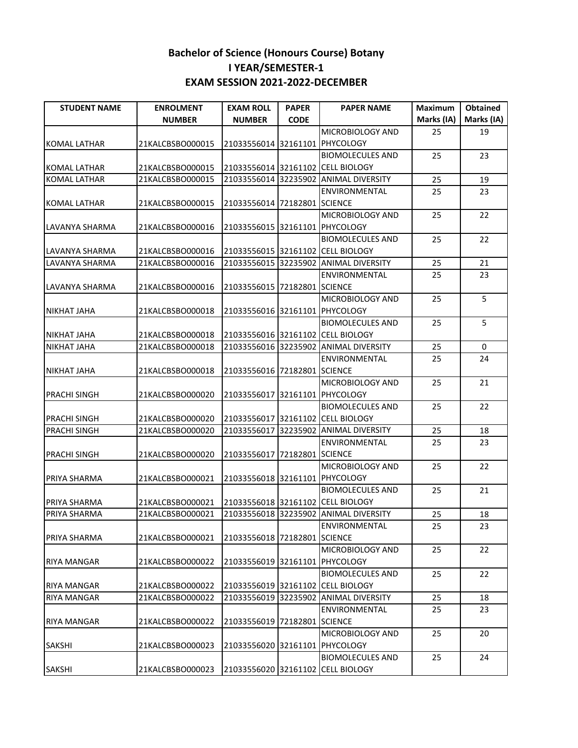| <b>STUDENT NAME</b>   | <b>ENROLMENT</b> | <b>EXAM ROLL</b>               | <b>PAPER</b>     | <b>PAPER NAME</b>                     | <b>Maximum</b> | Obtained   |
|-----------------------|------------------|--------------------------------|------------------|---------------------------------------|----------------|------------|
|                       | <b>NUMBER</b>    | <b>NUMBER</b>                  | <b>CODE</b>      |                                       | Marks (IA)     | Marks (IA) |
|                       |                  |                                |                  | MICROBIOLOGY AND                      | 25             | 19         |
| KOMAL LATHAR          | 21KALCBSBO000015 | 21033556014 32161101 PHYCOLOGY |                  |                                       |                |            |
|                       |                  |                                |                  | <b>BIOMOLECULES AND</b>               | 25             | 23         |
| KOMAL LATHAR          | 21KALCBSBO000015 |                                |                  | 21033556014 32161102 CELL BIOLOGY     |                |            |
| <b>KOMAL LATHAR</b>   | 21KALCBSBO000015 |                                |                  | 21033556014 32235902 ANIMAL DIVERSITY | 25             | 19         |
|                       |                  |                                |                  | ENVIRONMENTAL                         | 25             | 23         |
| <b>KOMAL LATHAR</b>   | 21KALCBSBO000015 | 21033556014 72182801 SCIENCE   |                  |                                       |                |            |
|                       |                  |                                |                  | MICROBIOLOGY AND                      | 25             | 22         |
| LAVANYA SHARMA        | 21KALCBSBO000016 | 21033556015 32161101 PHYCOLOGY |                  |                                       |                |            |
|                       |                  |                                |                  | <b>BIOMOLECULES AND</b>               | 25             | 22         |
| <b>LAVANYA SHARMA</b> | 21KALCBSBO000016 |                                |                  | 21033556015 32161102 CELL BIOLOGY     |                |            |
| LAVANYA SHARMA        | 21KALCBSBO000016 |                                |                  | 21033556015 32235902 ANIMAL DIVERSITY | 25             | 21         |
|                       |                  |                                |                  | ENVIRONMENTAL                         | 25             | 23         |
| LAVANYA SHARMA        | 21KALCBSBO000016 | 21033556015 72182801 SCIENCE   |                  |                                       |                |            |
|                       |                  |                                |                  | MICROBIOLOGY AND                      | 25             | 5          |
| <b>NIKHAT JAHA</b>    | 21KALCBSBO000018 | 21033556016 32161101 PHYCOLOGY |                  |                                       |                |            |
|                       |                  |                                |                  | <b>BIOMOLECULES AND</b>               | 25             | 5          |
| <b>NIKHAT JAHA</b>    | 21KALCBSBO000018 |                                |                  | 21033556016 32161102 CELL BIOLOGY     |                |            |
| <b>NIKHAT JAHA</b>    | 21KALCBSBO000018 |                                |                  | 21033556016 32235902 ANIMAL DIVERSITY | 25             | $\pmb{0}$  |
|                       |                  |                                |                  | <b>ENVIRONMENTAL</b>                  | 25             | 24         |
| <b>NIKHAT JAHA</b>    | 21KALCBSBO000018 | 21033556016 72182801 SCIENCE   |                  |                                       |                |            |
|                       |                  |                                |                  | MICROBIOLOGY AND                      | 25             | 21         |
| <b>PRACHI SINGH</b>   | 21KALCBSBO000020 | 21033556017                    |                  | 32161101 PHYCOLOGY                    |                |            |
|                       |                  |                                |                  | <b>BIOMOLECULES AND</b>               | 25             | 22         |
| <b>PRACHI SINGH</b>   | 21KALCBSBO000020 |                                |                  | 21033556017 32161102 CELL BIOLOGY     |                |            |
| <b>PRACHI SINGH</b>   | 21KALCBSBO000020 | 21033556017                    | 32235902         | <b>ANIMAL DIVERSITY</b>               | 25             | 18         |
|                       |                  |                                |                  | ENVIRONMENTAL                         | 25             | 23         |
| <b>PRACHI SINGH</b>   | 21KALCBSBO000020 | 21033556017                    | 72182801 SCIENCE |                                       |                |            |
|                       |                  |                                |                  | MICROBIOLOGY AND                      | 25             | 22         |
| PRIYA SHARMA          | 21KALCBSBO000021 | 21033556018 32161101 PHYCOLOGY |                  |                                       |                |            |
|                       |                  |                                |                  | <b>BIOMOLECULES AND</b>               | 25             | 21         |
| PRIYA SHARMA          | 21KALCBSBO000021 |                                |                  | 21033556018 32161102 CELL BIOLOGY     |                |            |
| <b>PRIYA SHARMA</b>   | 21KALCBSBO000021 | 21033556018 32235902           |                  | <b>ANIMAL DIVERSITY</b>               | 25             | 18         |
|                       |                  |                                |                  | ENVIRONMENTAL                         | 25             | 23         |
| PRIYA SHARMA          | 21KALCBSBO000021 | 21033556018 72182801 SCIENCE   |                  |                                       |                |            |
|                       |                  |                                |                  | MICROBIOLOGY AND                      | 25             | 22         |
| <b>RIYA MANGAR</b>    | 21KALCBSBO000022 | 21033556019 32161101 PHYCOLOGY |                  |                                       |                |            |
|                       |                  |                                |                  | <b>BIOMOLECULES AND</b>               | 25             | 22         |
| <b>RIYA MANGAR</b>    | 21KALCBSBO000022 |                                |                  | 21033556019 32161102 CELL BIOLOGY     |                |            |
| <b>RIYA MANGAR</b>    | 21KALCBSBO000022 | 21033556019                    |                  | 32235902 ANIMAL DIVERSITY             | 25             | 18         |
|                       |                  |                                |                  | ENVIRONMENTAL                         | 25             | 23         |
| <b>RIYA MANGAR</b>    | 21KALCBSBO000022 | 21033556019 72182801 SCIENCE   |                  |                                       |                |            |
|                       |                  |                                |                  | MICROBIOLOGY AND                      | 25             | 20         |
| <b>SAKSHI</b>         | 21KALCBSBO000023 | 21033556020 32161101 PHYCOLOGY |                  |                                       |                |            |
|                       |                  |                                |                  | <b>BIOMOLECULES AND</b>               | 25             | 24         |
| <b>SAKSHI</b>         | 21KALCBSBO000023 |                                |                  | 21033556020 32161102 CELL BIOLOGY     |                |            |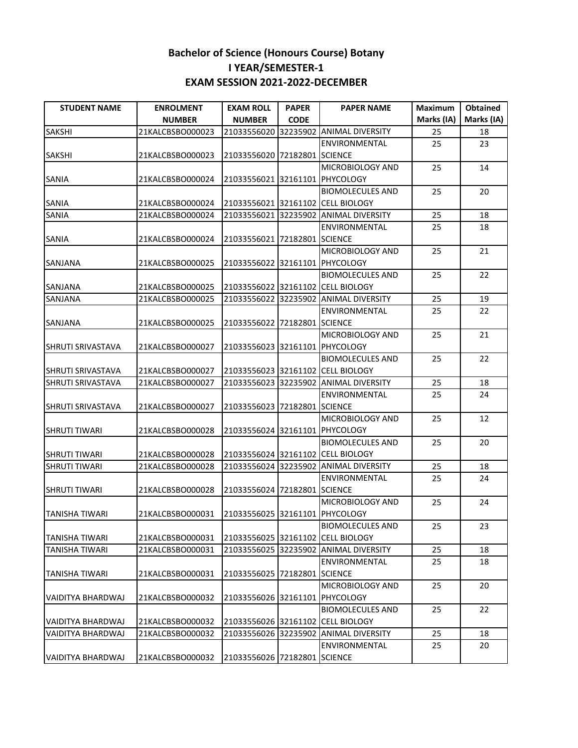| <b>STUDENT NAME</b>      | <b>ENROLMENT</b> | <b>EXAM ROLL</b>               | <b>PAPER</b> | <b>PAPER NAME</b>                     | <b>Maximum</b> | <b>Obtained</b> |
|--------------------------|------------------|--------------------------------|--------------|---------------------------------------|----------------|-----------------|
|                          | <b>NUMBER</b>    | <b>NUMBER</b>                  | <b>CODE</b>  |                                       | Marks (IA)     | Marks (IA)      |
| <b>SAKSHI</b>            | 21KALCBSBO000023 |                                |              | 21033556020 32235902 ANIMAL DIVERSITY | 25             | 18              |
|                          |                  |                                |              | ENVIRONMENTAL                         | 25             | 23              |
| <b>SAKSHI</b>            | 21KALCBSBO000023 | 21033556020 72182801 SCIENCE   |              |                                       |                |                 |
|                          |                  |                                |              | MICROBIOLOGY AND                      | 25             | 14              |
| SANIA                    | 21KALCBSBO000024 | 21033556021 32161101 PHYCOLOGY |              |                                       |                |                 |
|                          |                  |                                |              | <b>BIOMOLECULES AND</b>               | 25             | 20              |
| <b>SANIA</b>             | 21KALCBSBO000024 |                                |              | 21033556021 32161102 CELL BIOLOGY     |                |                 |
| SANIA                    | 21KALCBSBO000024 | 21033556021 32235902           |              | <b>ANIMAL DIVERSITY</b>               | 25             | 18              |
|                          |                  |                                |              | ENVIRONMENTAL                         | 25             | 18              |
| <b>SANIA</b>             | 21KALCBSBO000024 | 21033556021 72182801 SCIENCE   |              |                                       |                |                 |
|                          |                  |                                |              | MICROBIOLOGY AND                      | 25             | 21              |
| SANJANA                  | 21KALCBSBO000025 | 21033556022 32161101 PHYCOLOGY |              |                                       |                |                 |
|                          |                  |                                |              | <b>BIOMOLECULES AND</b>               | 25             | 22              |
| <b>SANJANA</b>           | 21KALCBSBO000025 |                                |              | 21033556022 32161102 CELL BIOLOGY     |                |                 |
| <b>SANJANA</b>           | 21KALCBSBO000025 |                                |              | 21033556022 32235902 ANIMAL DIVERSITY | 25             | 19              |
|                          |                  |                                |              | ENVIRONMENTAL                         | 25             | 22              |
| SANJANA                  | 21KALCBSBO000025 | 21033556022 72182801 SCIENCE   |              |                                       |                |                 |
|                          |                  |                                |              | MICROBIOLOGY AND                      | 25             | 21              |
| SHRUTI SRIVASTAVA        | 21KALCBSBO000027 | 21033556023 32161101 PHYCOLOGY |              |                                       |                |                 |
|                          |                  |                                |              | <b>BIOMOLECULES AND</b>               | 25             | 22              |
|                          | 21KALCBSBO000027 |                                |              | 21033556023 32161102 CELL BIOLOGY     |                |                 |
| SHRUTI SRIVASTAVA        |                  |                                |              |                                       |                | 18              |
| <b>SHRUTI SRIVASTAVA</b> | 21KALCBSBO000027 |                                |              | 21033556023 32235902 ANIMAL DIVERSITY | 25             |                 |
|                          |                  |                                |              | ENVIRONMENTAL                         | 25             | 24              |
| <b>SHRUTI SRIVASTAVA</b> | 21KALCBSBO000027 | 21033556023 72182801 SCIENCE   |              |                                       |                |                 |
|                          |                  |                                |              | MICROBIOLOGY AND                      | 25             | 12              |
| <b>SHRUTI TIWARI</b>     | 21KALCBSBO000028 | 21033556024 32161101 PHYCOLOGY |              |                                       |                |                 |
|                          |                  |                                |              | <b>BIOMOLECULES AND</b>               | 25             | 20              |
| <b>SHRUTI TIWARI</b>     | 21KALCBSBO000028 |                                |              | 21033556024 32161102 CELL BIOLOGY     |                |                 |
| <b>SHRUTI TIWARI</b>     | 21KALCBSBO000028 |                                |              | 21033556024 32235902 ANIMAL DIVERSITY | 25             | 18              |
|                          |                  |                                |              | ENVIRONMENTAL                         | 25             | 24              |
| <b>SHRUTI TIWARI</b>     | 21KALCBSBO000028 | 21033556024 72182801 SCIENCE   |              |                                       |                |                 |
|                          |                  |                                |              | MICROBIOLOGY AND                      | 25             | 24              |
| TANISHA TIWARI           | 21KALCBSBO000031 | 21033556025 32161101 PHYCOLOGY |              |                                       |                |                 |
|                          |                  |                                |              | <b>BIOMOLECULES AND</b>               | 25             | 23              |
| TANISHA TIWARI           | 21KALCBSBO000031 |                                |              | 21033556025 32161102 CELL BIOLOGY     |                |                 |
| <b>TANISHA TIWARI</b>    | 21KALCBSBO000031 |                                |              | 21033556025 32235902 ANIMAL DIVERSITY | 25             | 18              |
|                          |                  |                                |              | <b>ENVIRONMENTAL</b>                  | 25             | 18              |
| <b>TANISHA TIWARI</b>    | 21KALCBSBO000031 | 21033556025 72182801 SCIENCE   |              |                                       |                |                 |
|                          |                  |                                |              | MICROBIOLOGY AND                      | 25             | 20              |
| <b>VAIDITYA BHARDWAJ</b> | 21KALCBSBO000032 | 21033556026 32161101 PHYCOLOGY |              |                                       |                |                 |
|                          |                  |                                |              | <b>BIOMOLECULES AND</b>               | 25             | 22              |
| VAIDITYA BHARDWAJ        | 21KALCBSBO000032 |                                |              | 21033556026 32161102 CELL BIOLOGY     |                |                 |
| <b>VAIDITYA BHARDWAJ</b> | 21KALCBSBO000032 |                                |              | 21033556026 32235902 ANIMAL DIVERSITY | 25             | 18              |
|                          |                  |                                |              | ENVIRONMENTAL                         | 25             | 20              |
| VAIDITYA BHARDWAJ        | 21KALCBSBO000032 | 21033556026 72182801 SCIENCE   |              |                                       |                |                 |